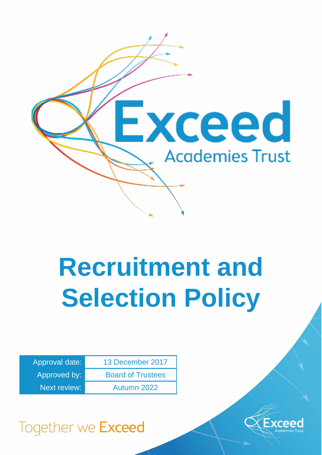

# **Recruitment and Selection Policy**

| Approval date:      | 13 December 2017         |
|---------------------|--------------------------|
| Approved by:        | <b>Board of Trustees</b> |
| <b>Next review:</b> | Autumn 2022              |



Together we Exceed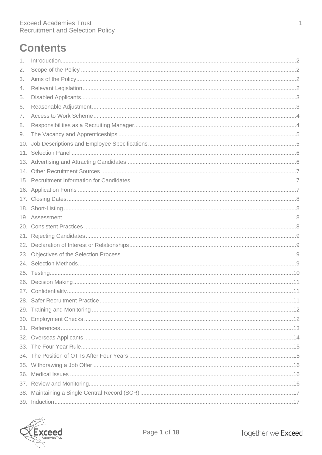# **Contents**

| 1.  |  |
|-----|--|
| 2.  |  |
| 3.  |  |
| 4.  |  |
| 5.  |  |
| 6.  |  |
| 7.  |  |
| 8.  |  |
| 9.  |  |
| 10. |  |
| 11. |  |
|     |  |
|     |  |
|     |  |
|     |  |
|     |  |
|     |  |
|     |  |
|     |  |
|     |  |
| 22. |  |
|     |  |
|     |  |
|     |  |
| 26. |  |
|     |  |
|     |  |
|     |  |
|     |  |
|     |  |
|     |  |
|     |  |
|     |  |
|     |  |
|     |  |
|     |  |
|     |  |
|     |  |

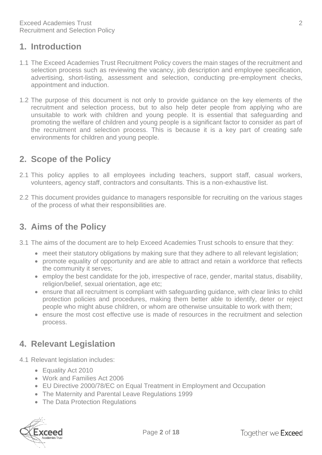#### <span id="page-2-0"></span>**1. Introduction**

- 1.1 The Exceed Academies Trust Recruitment Policy covers the main stages of the recruitment and selection process such as reviewing the vacancy, job description and employee specification, advertising, short-listing, assessment and selection, conducting pre-employment checks, appointment and induction.
- 1.2 The purpose of this document is not only to provide guidance on the key elements of the recruitment and selection process, but to also help deter people from applying who are unsuitable to work with children and young people. It is essential that safeguarding and promoting the welfare of children and young people is a significant factor to consider as part of the recruitment and selection process. This is because it is a key part of creating safe environments for children and young people.

#### <span id="page-2-1"></span>**2. Scope of the Policy**

- 2.1 This policy applies to all employees including teachers, support staff, casual workers, volunteers, agency staff, contractors and consultants. This is a non-exhaustive list.
- 2.2 This document provides guidance to managers responsible for recruiting on the various stages of the process of what their responsibilities are.

## <span id="page-2-2"></span>**3. Aims of the Policy**

- 3.1 The aims of the document are to help Exceed Academies Trust schools to ensure that they:
	- meet their statutory obligations by making sure that they adhere to all relevant legislation;
	- promote equality of opportunity and are able to attract and retain a workforce that reflects the community it serves;
	- employ the best candidate for the job, irrespective of race, gender, marital status, disability, religion/belief, sexual orientation, age etc;
	- ensure that all recruitment is compliant with safeguarding guidance, with clear links to child protection policies and procedures, making them better able to identify, deter or reject people who might abuse children, or whom are otherwise unsuitable to work with them;
	- ensure the most cost effective use is made of resources in the recruitment and selection process.

# <span id="page-2-3"></span>**4. Relevant Legislation**

- 4.1 Relevant legislation includes:
	- Equality Act 2010
	- Work and Families Act 2006
	- EU Directive 2000/78/EC on Equal Treatment in Employment and Occupation
	- The Maternity and Parental Leave Regulations 1999
	- The Data Protection Regulations

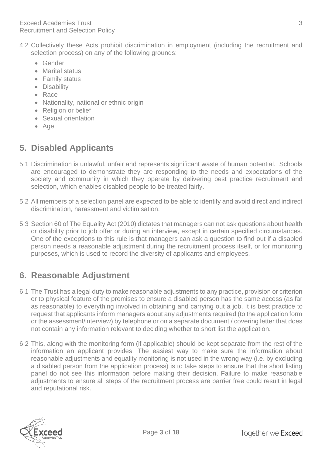- 4.2 Collectively these Acts prohibit discrimination in employment (including the recruitment and selection process) on any of the following grounds:
	- Gender
	- Marital status
	- Family status
	- Disability
	- Race
	- Nationality, national or ethnic origin
	- Religion or belief
	- Sexual orientation
	- Age

# <span id="page-3-0"></span>**5. Disabled Applicants**

- 5.1 Discrimination is unlawful, unfair and represents significant waste of human potential. Schools are encouraged to demonstrate they are responding to the needs and expectations of the society and community in which they operate by delivering best practice recruitment and selection, which enables disabled people to be treated fairly.
- 5.2 All members of a selection panel are expected to be able to identify and avoid direct and indirect discrimination, harassment and victimisation.
- 5.3 Section 60 of The Equality Act (2010) dictates that managers can not ask questions about health or disability prior to job offer or during an interview, except in certain specified circumstances. One of the exceptions to this rule is that managers can ask a question to find out if a disabled person needs a reasonable adjustment during the recruitment process itself, or for monitoring purposes, which is used to record the diversity of applicants and employees.

# <span id="page-3-1"></span>**6. Reasonable Adjustment**

- 6.1 The Trust has a legal duty to make reasonable adjustments to any practice, provision or criterion or to physical feature of the premises to ensure a disabled person has the same access (as far as reasonable) to everything involved in obtaining and carrying out a job. It is best practice to request that applicants inform managers about any adjustments required (to the application form or the assessment/interview) by telephone or on a separate document / covering letter that does not contain any information relevant to deciding whether to short list the application.
- 6.2 This, along with the monitoring form (if applicable) should be kept separate from the rest of the information an applicant provides. The easiest way to make sure the information about reasonable adjustments and equality monitoring is not used in the wrong way (i.e. by excluding a disabled person from the application process) is to take steps to ensure that the short listing panel do not see this information before making their decision. Failure to make reasonable adjustments to ensure all steps of the recruitment process are barrier free could result in legal and reputational risk.

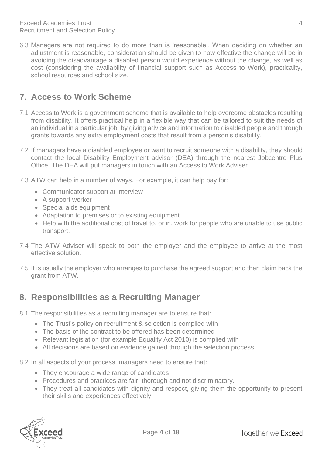6.3 Managers are not required to do more than is 'reasonable'. When deciding on whether an adjustment is reasonable, consideration should be given to how effective the change will be in avoiding the disadvantage a disabled person would experience without the change, as well as cost (considering the availability of financial support such as Access to Work), practicality, school resources and school size.

# <span id="page-4-0"></span>**7. Access to Work Scheme**

- 7.1 Access to Work is a government scheme that is available to help overcome obstacles resulting from disability. It offers practical help in a flexible way that can be tailored to suit the needs of an individual in a particular job, by giving advice and information to disabled people and through grants towards any extra employment costs that result from a person's disability.
- 7.2 If managers have a disabled employee or want to recruit someone with a disability, they should contact the local Disability Employment advisor (DEA) through the nearest Jobcentre Plus Office. The DEA will put managers in touch with an Access to Work Adviser.
- 7.3 ATW can help in a number of ways. For example, it can help pay for:
	- Communicator support at interview
	- A support worker
	- Special aids equipment
	- Adaptation to premises or to existing equipment
	- Help with the additional cost of travel to, or in, work for people who are unable to use public transport.
- 7.4 The ATW Adviser will speak to both the employer and the employee to arrive at the most effective solution.
- 7.5 It is usually the employer who arranges to purchase the agreed support and then claim back the grant from ATW.

## <span id="page-4-1"></span>**8. Responsibilities as a Recruiting Manager**

- 8.1 The responsibilities as a recruiting manager are to ensure that:
	- The Trust's policy on recruitment & selection is complied with
	- The basis of the contract to be offered has been determined
	- Relevant legislation (for example Equality Act 2010) is complied with
	- All decisions are based on evidence gained through the selection process
- 8.2 In all aspects of your process, managers need to ensure that:
	- They encourage a wide range of candidates
	- Procedures and practices are fair, thorough and not discriminatory.
	- They treat all candidates with dignity and respect, giving them the opportunity to present their skills and experiences effectively.

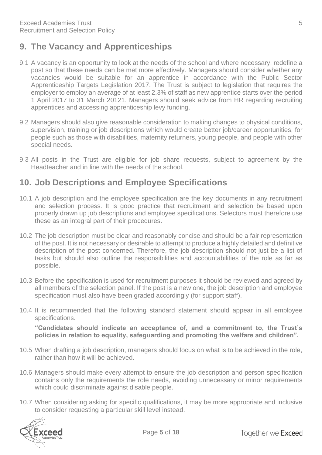# <span id="page-5-0"></span>**9. The Vacancy and Apprenticeships**

- 9.1 A vacancy is an opportunity to look at the needs of the school and where necessary, redefine a post so that these needs can be met more effectively. Managers should consider whether any vacancies would be suitable for an apprentice in accordance with the Public Sector Apprenticeship Targets Legislation 2017. The Trust is subject to legislation that requires the employer to employ an average of at least 2.3% of staff as new apprentice starts over the period 1 April 2017 to 31 March 20121. Managers should seek advice from HR regarding recruiting apprentices and accessing apprenticeship levy funding.
- 9.2 Managers should also give reasonable consideration to making changes to physical conditions, supervision, training or job descriptions which would create better job/career opportunities, for people such as those with disabilities, maternity returners, young people, and people with other special needs.
- 9.3 All posts in the Trust are eligible for job share requests, subject to agreement by the Headteacher and in line with the needs of the school.

#### <span id="page-5-1"></span>**10. Job Descriptions and Employee Specifications**

- 10.1 A job description and the employee specification are the key documents in any recruitment and selection process. It is good practice that recruitment and selection be based upon properly drawn up job descriptions and employee specifications. Selectors must therefore use these as an integral part of their procedures.
- 10.2 The job description must be clear and reasonably concise and should be a fair representation of the post. It is not necessary or desirable to attempt to produce a highly detailed and definitive description of the post concerned. Therefore, the job description should not just be a list of tasks but should also outline the responsibilities and accountabilities of the role as far as possible.
- 10.3 Before the specification is used for recruitment purposes it should be reviewed and agreed by all members of the selection panel. If the post is a new one, the job description and employee specification must also have been graded accordingly (for support staff).
- 10.4 It is recommended that the following standard statement should appear in all employee specifications.

**"Candidates should indicate an acceptance of, and a commitment to, the Trust's policies in relation to equality, safeguarding and promoting the welfare and children".**

- 10.5 When drafting a job description, managers should focus on what is to be achieved in the role, rather than how it will be achieved.
- 10.6 Managers should make every attempt to ensure the job description and person specification contains only the requirements the role needs, avoiding unnecessary or minor requirements which could discriminate against disable people.
- 10.7 When considering asking for specific qualifications, it may be more appropriate and inclusive to consider requesting a particular skill level instead.

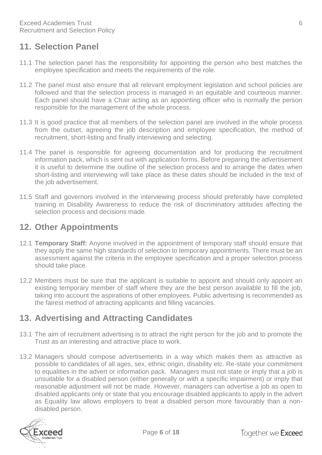#### <span id="page-6-0"></span>**11. Selection Panel**

- 11.1 The selection panel has the responsibility for appointing the person who best matches the employee specification and meets the requirements of the role.
- 11.2 The panel must also ensure that all relevant employment legislation and school policies are followed and that the selection process is managed in an equitable and courteous manner. Each panel should have a Chair acting as an appointing officer who is normally the person responsible for the management of the whole process.
- 11.3 It is good practice that all members of the selection panel are involved in the whole process from the outset, agreeing the job description and employee specification, the method of recruitment, short-listing and finally interviewing and selecting.
- 11.4 The panel is responsible for agreeing documentation and for producing the recruitment information pack, which is sent out with application forms. Before preparing the advertisement it is useful to determine the outline of the selection process and to arrange the dates when short-listing and interviewing will take place as these dates should be included in the text of the job advertisement.
- 11.5 Staff and governors involved in the interviewing process should preferably have completed training in Disability Awareness to reduce the risk of discriminatory attitudes affecting the selection process and decisions made.

#### **12. Other Appointments**

- 12.1 **Temporary Staff:** Anyone involved in the appointment of temporary staff should ensure that they apply the same high standards of selection to temporary appointments. There must be an assessment against the criteria in the employee specification and a proper selection process should take place.
- 12.2 Members must be sure that the applicant is suitable to appoint and should only appoint an existing temporary member of staff where they are the best person available to fill the job, taking into account the aspirations of other employees. Public advertising is recommended as the fairest method of attracting applicants and filling vacancies.

## <span id="page-6-1"></span>**13. Advertising and Attracting Candidates**

- 13.1 The aim of recruitment advertising is to attract the right person for the job and to promote the Trust as an interesting and attractive place to work.
- 13.2 Managers should compose advertisements in a way which makes them as attractive as possible to candidates of all ages, sex, ethnic origin, disability etc. Re-state your commitment to equalities in the advert or information pack. Managers must not state or imply that a job is unsuitable for a disabled person (either generally or with a specific impairment) or imply that reasonable adjustment will not be made. However, managers can advertise a job as open to disabled applicants only or state that you encourage disabled applicants to apply in the advert as Equality law allows employers to treat a disabled person more favourably than a nondisabled person.

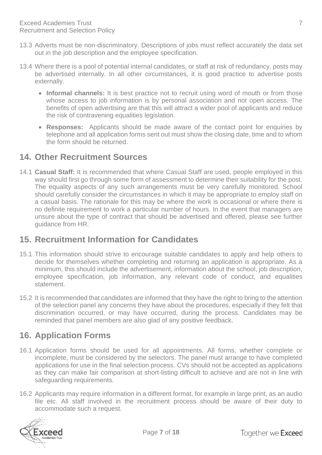- 13.3 Adverts must be non-discriminatory. Descriptions of jobs must reflect accurately the data set out in the job description and the employee specification.
- 13.4 Where there is a pool of potential internal candidates, or staff at risk of redundancy, posts may be advertised internally. In all other circumstances, it is good practice to advertise posts externally.
	- **Informal channels:** It is best practice not to recruit using word of mouth or from those whose access to job information is by personal association and not open access. The benefits of open advertising are that this will attract a wider pool of applicants and reduce the risk of contravening equalities legislation.
	- **Responses:** Applicants should be made aware of the contact point for enquiries by telephone and all application forms sent out must show the closing date, time and to whom the form should be returned.

#### <span id="page-7-0"></span>**14. Other Recruitment Sources**

14.1 **Casual Staff:** It is recommended that where Casual Staff are used, people employed in this way should first go through some form of assessment to determine their suitability for the post. The equality aspects of any such arrangements must be very carefully monitored. School should carefully consider the circumstances in which it may be appropriate to employ staff on a casual basis. The rationale for this may be where the work is occasional or where there is no definite requirement to work a particular number of hours. In the event that managers are unsure about the type of contract that should be advertised and offered, please see further guidance from HR.

#### <span id="page-7-1"></span>**15. Recruitment Information for Candidates**

- 15.1 This information should strive to encourage suitable candidates to apply and help others to decide for themselves whether completing and returning an application is appropriate. As a minimum, this should include the advertisement, information about the school, job description, employee specification, job information, any relevant code of conduct, and equalities statement.
- 15.2 It is recommended that candidates are informed that they have the right to bring to the attention of the selection panel any concerns they have about the procedures, especially if they felt that discrimination occurred, or may have occurred, during the process. Candidates may be reminded that panel members are also glad of any positive feedback.

#### <span id="page-7-2"></span>**16. Application Forms**

- 16.1 Application forms should be used for all appointments. All forms, whether complete or incomplete, must be considered by the selectors. The panel must arrange to have completed applications for use in the final selection process. CVs should not be accepted as applications as they can make fair comparison at short-listing difficult to achieve and are not in line with safeguarding requirements.
- 16.2 Applicants may require information in a different format, for example in large print, as an audio file etc. All staff involved in the recruitment process should be aware of their duty to accommodate such a request.

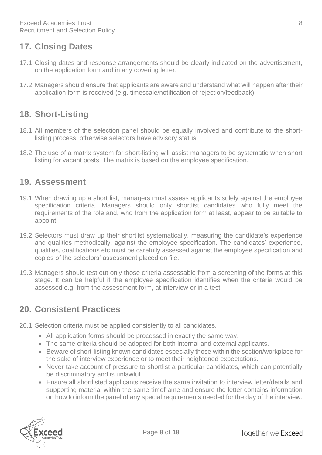#### <span id="page-8-0"></span>**17. Closing Dates**

- 17.1 Closing dates and response arrangements should be clearly indicated on the advertisement, on the application form and in any covering letter.
- 17.2 Managers should ensure that applicants are aware and understand what will happen after their application form is received (e.g. timescale/notification of rejection/feedback).

## <span id="page-8-1"></span>**18. Short-Listing**

- 18.1 All members of the selection panel should be equally involved and contribute to the shortlisting process, otherwise selectors have advisory status.
- 18.2 The use of a matrix system for short-listing will assist managers to be systematic when short listing for vacant posts. The matrix is based on the employee specification.

#### <span id="page-8-2"></span>**19. Assessment**

- 19.1 When drawing up a short list, managers must assess applicants solely against the employee specification criteria. Managers should only shortlist candidates who fully meet the requirements of the role and, who from the application form at least, appear to be suitable to appoint.
- 19.2 Selectors must draw up their shortlist systematically, measuring the candidate's experience and qualities methodically, against the employee specification. The candidates' experience, qualities, qualifications etc must be carefully assessed against the employee specification and copies of the selectors' assessment placed on file.
- 19.3 Managers should test out only those criteria assessable from a screening of the forms at this stage. It can be helpful if the employee specification identifies when the criteria would be assessed e.g. from the assessment form, at interview or in a test.

#### <span id="page-8-3"></span>**20. Consistent Practices**

- 20.1 Selection criteria must be applied consistently to all candidates.
	- All application forms should be processed in exactly the same way.
	- The same criteria should be adopted for both internal and external applicants.
	- Beware of short-listing known candidates especially those within the section/workplace for the sake of interview experience or to meet their heightened expectations.
	- Never take account of pressure to shortlist a particular candidates, which can potentially be discriminatory and is unlawful.
	- Ensure all shortlisted applicants receive the same invitation to interview letter/details and supporting material within the same timeframe and ensure the letter contains information on how to inform the panel of any special requirements needed for the day of the interview.

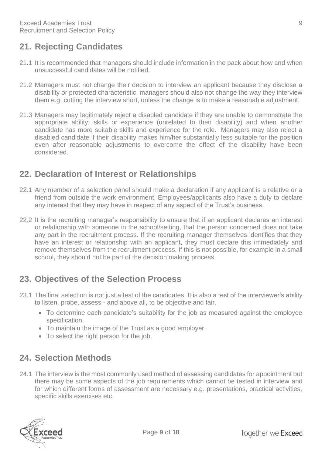# <span id="page-9-0"></span>**21. Rejecting Candidates**

- 21.1 It is recommended that managers should include information in the pack about how and when unsuccessful candidates will be notified.
- 21.2 Managers must not change their decision to interview an applicant because they disclose a disability or protected characteristic. managers should also not change the way they interview them e.g. cutting the interview short, unless the change is to make a reasonable adjustment.
- 21.3 Managers may legitimately reject a disabled candidate if they are unable to demonstrate the appropriate ability, skills or experience (unrelated to their disability) and when another candidate has more suitable skills and experience for the role. Managers may also reject a disabled candidate if their disability makes him/her substantially less suitable for the position even after reasonable adjustments to overcome the effect of the disability have been considered.

#### <span id="page-9-1"></span>**22. Declaration of Interest or Relationships**

- 22.1 Any member of a selection panel should make a declaration if any applicant is a relative or a friend from outside the work environment. Employees/applicants also have a duty to declare any interest that they may have in respect of any aspect of the Trust's business.
- 22.2 It is the recruiting manager's responsibility to ensure that if an applicant declares an interest or relationship with someone in the school/setting, that the person concerned does not take any part in the recruitment process. If the recruiting manager themselves identifies that they have an interest or relationship with an applicant, they must declare this immediately and remove themselves from the recruitment process. If this is not possible, for example in a small school, they should not be part of the decision making process.

## <span id="page-9-2"></span>**23. Objectives of the Selection Process**

- 23.1 The final selection is not just a test of the candidates. It is also a test of the interviewer's ability to listen, probe, assess - and above all, to be objective and fair.
	- To determine each candidate's suitability for the job as measured against the employee specification.
	- To maintain the image of the Trust as a good employer.
	- To select the right person for the job.

## <span id="page-9-3"></span>**24. Selection Methods**

24.1 The interview is the most commonly used method of assessing candidates for appointment but there may be some aspects of the job requirements which cannot be tested in interview and for which different forms of assessment are necessary e.g. presentations, practical activities, specific skills exercises etc.

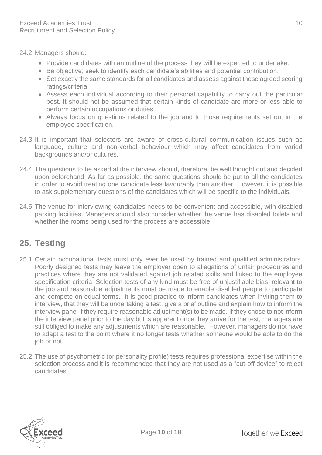24.2 Managers should:

- Provide candidates with an outline of the process they will be expected to undertake.
- Be objective; seek to identify each candidate's abilities and potential contribution.
- Set exactly the same standards for all candidates and assess against these agreed scoring ratings/criteria.
- Assess each individual according to their personal capability to carry out the particular post. It should not be assumed that certain kinds of candidate are more or less able to perform certain occupations or duties.
- Always focus on questions related to the job and to those requirements set out in the employee specification.
- 24.3 It is important that selectors are aware of cross-cultural communication issues such as language, culture and non-verbal behaviour which may affect candidates from varied backgrounds and/or cultures.
- 24.4 The questions to be asked at the interview should, therefore, be well thought out and decided upon beforehand. As far as possible, the same questions should be put to all the candidates in order to avoid treating one candidate less favourably than another. However, it is possible to ask supplementary questions of the candidates which will be specific to the individuals.
- 24.5 The venue for interviewing candidates needs to be convenient and accessible, with disabled parking facilities. Managers should also consider whether the venue has disabled toilets and whether the rooms being used for the process are accessible.

# <span id="page-10-0"></span>**25. Testing**

- 25.1 Certain occupational tests must only ever be used by trained and qualified administrators. Poorly designed tests may leave the employer open to allegations of unfair procedures and practices where they are not validated against job related skills and linked to the employee specification criteria. Selection tests of any kind must be free of unjustifiable bias, relevant to the job and reasonable adjustments must be made to enable disabled people to participate and compete on equal terms. It is good practice to inform candidates when inviting them to interview, that they will be undertaking a test, give a brief outline and explain how to inform the interview panel if they require reasonable adjustment(s) to be made. If they chose to not inform the interview panel prior to the day but is apparent once they arrive for the test, managers are still obliged to make any adjustments which are reasonable. However, managers do not have to adapt a test to the point where it no longer tests whether someone would be able to do the job or not.
- 25.2 The use of psychometric (or personality profile) tests requires professional expertise within the selection process and it is recommended that they are not used as a "cut-off device" to reject candidates.

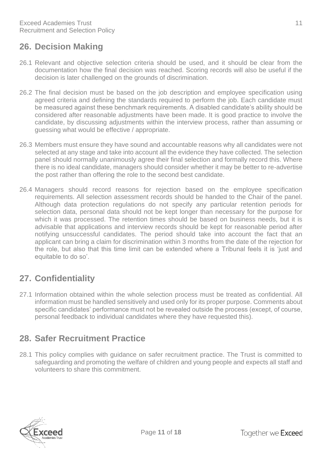## <span id="page-11-0"></span>**26. Decision Making**

- 26.1 Relevant and objective selection criteria should be used, and it should be clear from the documentation how the final decision was reached. Scoring records will also be useful if the decision is later challenged on the grounds of discrimination.
- 26.2 The final decision must be based on the job description and employee specification using agreed criteria and defining the standards required to perform the job. Each candidate must be measured against these benchmark requirements. A disabled candidate's ability should be considered after reasonable adjustments have been made. It is good practice to involve the candidate, by discussing adjustments within the interview process, rather than assuming or guessing what would be effective / appropriate.
- 26.3 Members must ensure they have sound and accountable reasons why all candidates were not selected at any stage and take into account all the evidence they have collected. The selection panel should normally unanimously agree their final selection and formally record this. Where there is no ideal candidate, managers should consider whether it may be better to re-advertise the post rather than offering the role to the second best candidate.
- 26.4 Managers should record reasons for rejection based on the employee specification requirements. All selection assessment records should be handed to the Chair of the panel. Although data protection regulations do not specify any particular retention periods for selection data, personal data should not be kept longer than necessary for the purpose for which it was processed. The retention times should be based on business needs, but it is advisable that applications and interview records should be kept for reasonable period after notifying unsuccessful candidates. The period should take into account the fact that an applicant can bring a claim for discrimination within 3 months from the date of the rejection for the role, but also that this time limit can be extended where a Tribunal feels it is 'just and equitable to do so'.

# <span id="page-11-1"></span>**27. Confidentiality**

27.1 Information obtained within the whole selection process must be treated as confidential. All information must be handled sensitively and used only for its proper purpose. Comments about specific candidates' performance must not be revealed outside the process (except, of course, personal feedback to individual candidates where they have requested this).

# <span id="page-11-2"></span>**28. Safer Recruitment Practice**

28.1 This policy complies with guidance on safer recruitment practice. The Trust is committed to safeguarding and promoting the welfare of children and young people and expects all staff and volunteers to share this commitment.

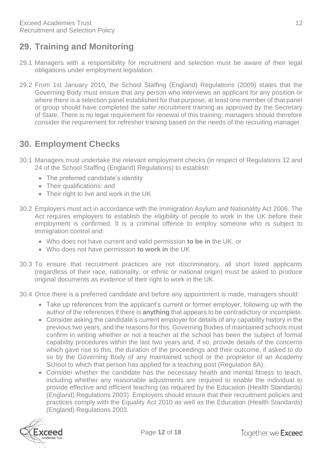# <span id="page-12-0"></span>**29. Training and Monitoring**

- 29.1 Managers with a responsibility for recruitment and selection must be aware of their legal obligations under employment legislation.
- 29.2 From 1st January 2010, the School Staffing (England) Regulations (2009) states that the Governing Body must ensure that any person who interviews an applicant for any position or where there is a selection panel established for that purpose, at least one member of that panel or group should have completed the safer recruitment training as approved by the Secretary of State. There is no legal requirement for renewal of this training; managers should therefore consider the requirement for refresher training based on the needs of the recruiting manager.

# <span id="page-12-1"></span>**30. Employment Checks**

- 30.1 Managers must undertake the relevant employment checks (in respect of Regulations 12 and 24 of the School Staffing (England) Regulations) to establish:
	- The preferred candidate's identity
	- Their qualifications: and
	- Their right to live and work in the UK
- 30.2 Employers must act in accordance with the Immigration Asylum and Nationality Act 2006. The Act requires employers to establish the eligibility of people to work in the UK before their employment is confirmed. It is a criminal offence to employ someone who is subject to immigration control and:
	- Who does not have current and valid permission **to be in** the UK, or
	- Who does not have permission **to work in** the UK
- 30.3 To ensure that recruitment practices are not discriminatory, all short listed applicants (regardless of their race, nationality, or ethnic or national origin) must be asked to produce original documents as evidence of their right to work in the UK.
- 30.4 Once there is a preferred candidate and before any appointment is made, managers should:
	- Take up references from the applicant's current or former employer, following up with the author of the references if there is **anything** that appears to be contradictory or incomplete.
	- Consider asking the candidate's current employer for details of any capability history in the previous two years, and the reasons for this. Governing Bodies of maintained schools must confirm in writing whether or not a teacher at the school has been the subject of formal capability procedures within the last two years and, if so, provide details of the concerns which gave rise to this, the duration of the proceedings and their outcome, if asked to do so by the Governing Body of any maintained school or the proprietor of an Academy School to which that person has applied for a teaching post (Regulation 8A).
	- Consider whether the candidate has the necessary health and mental fitness to teach, including whether any reasonable adjustments are required to enable the individual to provide effective and efficient teaching (as required by the Education (Health Standards) (England) Regulations 2003). Employers should ensure that their recruitment policies and practices comply with the Equality Act 2010 as well as the Education (Health Standards) (England) Regulations 2003.

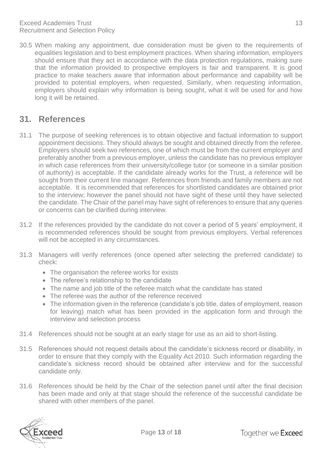30.5 When making any appointment, due consideration must be given to the requirements of equalities legislation and to best employment practices. When sharing information, employers should ensure that they act in accordance with the data protection regulations, making sure that the information provided to prospective employers is fair and transparent. It is good practice to make teachers aware that information about performance and capability will be provided to potential employers, when requested. Similarly, when requesting information, employers should explain why information is being sought, what it will be used for and how long it will be retained.

#### <span id="page-13-0"></span>**31. References**

- 31.1 The purpose of seeking references is to obtain objective and factual information to support appointment decisions. They should always be sought and obtained directly from the referee. Employers should seek two references, one of which must be from the current employer and preferably another from a previous employer, unless the candidate has no previous employer in which case references from their university/college tutor (or someone in a similar position of authority) is acceptable. If the candidate already works for the Trust, a reference will be sought from their current line manager. References from friends and family members are not acceptable. It is recommended that references for shortlisted candidates are obtained prior to the interview; however the panel should not have sight of these until they have selected the candidate. The Chair of the panel may have sight of references to ensure that any queries or concerns can be clarified during interview.
- 31.2 If the references provided by the candidate do not cover a period of 5 years' employment, it is recommended references should be sought from previous employers. Verbal references will not be accepted in any circumstances.
- 31.3 Managers will verify references (once opened after selecting the preferred candidate) to check:
	- The organisation the referee works for exists
	- The referee's relationship to the candidate
	- The name and job title of the referee match what the candidate has stated
	- The referee was the author of the reference received
	- The information given in the reference (candidate's job title, dates of employment, reason for leaving) match what has been provided in the application form and through the interview and selection process
- 31.4 References should not be sought at an early stage for use as an aid to short-listing.
- 31.5 References should not request details about the candidate's sickness record or disability, in order to ensure that they comply with the Equality Act 2010. Such information regarding the candidate's sickness record should be obtained after interview and for the successful candidate only.
- 31.6 References should be held by the Chair of the selection panel until after the final decision has been made and only at that stage should the reference of the successful candidate be shared with other members of the panel.

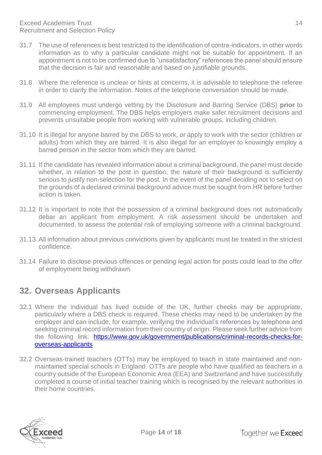- 31.7 The use of references is best restricted to the identification of contra-indicators, in other words information as to why a particular candidate might not be suitable for appointment. If an appointment is not to be confirmed due to "unsatisfactory" references the panel should ensure that the decision is fair and reasonable and based on justifiable grounds.
- 31.8 Where the reference is unclear or hints at concerns, it is advisable to telephone the referee in order to clarify the information. Notes of the telephone conversation should be made.
- 31.9 All employees must undergo vetting by the Disclosure and Barring Service (DBS) **prior** to commencing employment. The DBS helps employers make safer recruitment decisions and prevents unsuitable people from working with vulnerable groups, including children.
- 31.10 It is illegal for anyone barred by the DBS to work, or apply to work with the sector (children or adults) from which they are barred. It is also illegal for an employer to knowingly employ a barred person in the sector from which they are barred.
- 31.11 If the candidate has revealed information about a criminal background, the panel must decide whether, in relation to the post in question, the nature of their background is sufficiently serious to justify non-selection for the post. In the event of the panel deciding not to select on the grounds of a declared criminal background advice must be sought from HR before further action is taken.
- 31.12 It is important to note that the possession of a criminal background does not automatically debar an applicant from employment. A risk assessment should be undertaken and documented, to assess the potential risk of employing someone with a criminal background.
- 31.13 All information about previous convictions given by applicants must be treated in the strictest confidence.
- 31.14 Failure to disclose previous offences or pending legal action for posts could lead to the offer of employment being withdrawn.

## <span id="page-14-0"></span>**32. Overseas Applicants**

- 32.1 Where the individual has lived outside of the UK, further checks may be appropriate, particularly where a DBS check is required. These checks may need to be undertaken by the employer and can include, for example, verifying the individual's references by telephone and seeking criminal record information from their country of origin. Please seek further advice from the following link: [https://www.gov.uk/government/publications/criminal-records-checks-for](https://www.gov.uk/government/publications/criminal-records-checks-for-overseas-applicants)[overseas-applicants](https://www.gov.uk/government/publications/criminal-records-checks-for-overseas-applicants)
- 32.2 Overseas-trained teachers (OTTs) may be employed to teach in state maintained and nonmaintained special schools in England. OTTs are people who have qualified as teachers in a country outside of the European Economic Area (EEA) and Switzerland and have successfully completed a course of initial teacher training which is recognised by the relevant authorities in their home countries.

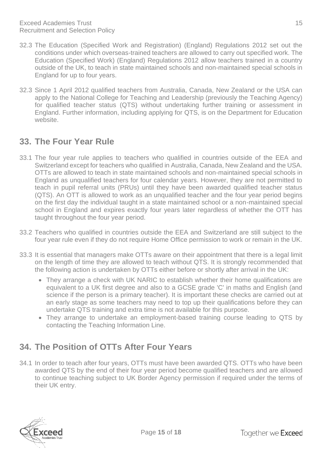- 32.3 The Education (Specified Work and Registration) (England) Regulations 2012 set out the conditions under which overseas-trained teachers are allowed to carry out specified work. The Education (Specified Work) (England) Regulations 2012 allow teachers trained in a country outside of the UK, to teach in state maintained schools and non-maintained special schools in England for up to four years.
- 32.3 Since 1 April 2012 qualified teachers from Australia, Canada, New Zealand or the USA can apply to the National College for Teaching and Leadership (previously the Teaching Agency) for qualified teacher status (QTS) without undertaking further training or assessment in England. Further information, including applying for QTS, is on the Department for Education website.

#### <span id="page-15-0"></span>**33. The Four Year Rule**

- 33.1 The four year rule applies to teachers who qualified in countries outside of the EEA and Switzerland except for teachers who qualified in Australia, Canada, New Zealand and the USA. OTTs are allowed to teach in state maintained schools and non-maintained special schools in England as unqualified teachers for four calendar years. However, they are not permitted to teach in pupil referral units (PRUs) until they have been awarded qualified teacher status (QTS). An OTT is allowed to work as an unqualified teacher and the four year period begins on the first day the individual taught in a state maintained school or a non-maintained special school in England and expires exactly four years later regardless of whether the OTT has taught throughout the four year period.
- 33.2 Teachers who qualified in countries outside the EEA and Switzerland are still subject to the four year rule even if they do not require Home Office permission to work or remain in the UK.
- 33.3 It is essential that managers make OTTs aware on their appointment that there is a legal limit on the length of time they are allowed to teach without QTS. It is strongly recommended that the following action is undertaken by OTTs either before or shortly after arrival in the UK:
	- They arrange a check with UK NARIC to establish whether their home qualifications are equivalent to a UK first degree and also to a GCSE grade 'C' in maths and English (and science if the person is a primary teacher). It is important these checks are carried out at an early stage as some teachers may need to top up their qualifications before they can undertake QTS training and extra time is not available for this purpose.
	- They arrange to undertake an employment-based training course leading to QTS by contacting the Teaching Information Line.

# <span id="page-15-1"></span>**34. The Position of OTTs After Four Years**

34.1 In order to teach after four years, OTTs must have been awarded QTS. OTTs who have been awarded QTS by the end of their four year period become qualified teachers and are allowed to continue teaching subject to UK Border Agency permission if required under the terms of their UK entry.

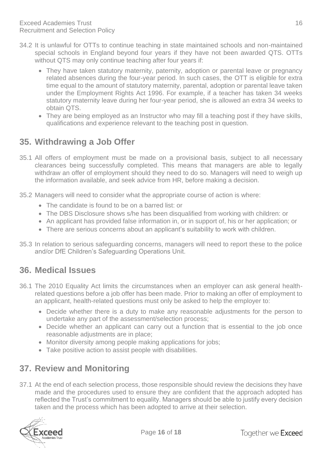- 34.2 It is unlawful for OTTs to continue teaching in state maintained schools and non-maintained special schools in England beyond four years if they have not been awarded QTS. OTTs without QTS may only continue teaching after four years if:
	- They have taken statutory maternity, paternity, adoption or parental leave or pregnancy related absences during the four-year period. In such cases, the OTT is eligible for extra time equal to the amount of statutory maternity, parental, adoption or parental leave taken under the Employment Rights Act 1996. For example, if a teacher has taken 34 weeks statutory maternity leave during her four-year period, she is allowed an extra 34 weeks to obtain QTS.
	- They are being employed as an Instructor who may fill a teaching post if they have skills, qualifications and experience relevant to the teaching post in question.

# <span id="page-16-0"></span>**35. Withdrawing a Job Offer**

- 35.1 All offers of employment must be made on a provisional basis, subject to all necessary clearances being successfully completed. This means that managers are able to legally withdraw an offer of employment should they need to do so. Managers will need to weigh up the information available, and seek advice from HR, before making a decision.
- 35.2 Managers will need to consider what the appropriate course of action is where:
	- The candidate is found to be on a barred list: or
	- The DBS Disclosure shows s/he has been disqualified from working with children: or
	- An applicant has provided false information in, or in support of, his or her application; or
	- There are serious concerns about an applicant's suitability to work with children.
- 35.3 In relation to serious safeguarding concerns, managers will need to report these to the police and/or DfE Children's Safeguarding Operations Unit.

#### <span id="page-16-1"></span>**36. Medical Issues**

- 36.1 The 2010 Equality Act limits the circumstances when an employer can ask general healthrelated questions before a job offer has been made. Prior to making an offer of employment to an applicant, health-related questions must only be asked to help the employer to:
	- Decide whether there is a duty to make any reasonable adjustments for the person to undertake any part of the assessment/selection process;
	- Decide whether an applicant can carry out a function that is essential to the job once reasonable adjustments are in place;
	- Monitor diversity among people making applications for jobs;
	- Take positive action to assist people with disabilities.

## <span id="page-16-2"></span>**37. Review and Monitoring**

37.1 At the end of each selection process, those responsible should review the decisions they have made and the procedures used to ensure they are confident that the approach adopted has reflected the Trust's commitment to equality. Managers should be able to justify every decision taken and the process which has been adopted to arrive at their selection.

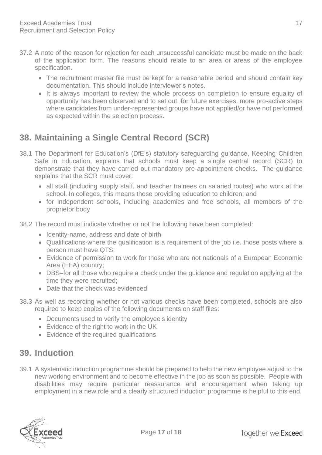- 37.2 A note of the reason for rejection for each unsuccessful candidate must be made on the back of the application form. The reasons should relate to an area or areas of the employee specification.
	- The recruitment master file must be kept for a reasonable period and should contain key documentation. This should include interviewer's notes.
	- It is always important to review the whole process on completion to ensure equality of opportunity has been observed and to set out, for future exercises, more pro-active steps where candidates from under-represented groups have not applied/or have not performed as expected within the selection process.

# <span id="page-17-0"></span>**38. Maintaining a Single Central Record (SCR)**

- 38.1 The Department for Education's (DfE's) statutory safeguarding guidance, Keeping Children Safe in Education, explains that schools must keep a single central record (SCR) to demonstrate that they have carried out mandatory pre-appointment checks. The guidance explains that the SCR must cover:
	- all staff (including supply staff, and teacher trainees on salaried routes) who work at the school. In colleges, this means those providing education to children; and
	- for independent schools, including academies and free schools, all members of the proprietor body
- 38.2 The record must indicate whether or not the following have been completed:
	- Identity-name, address and date of birth
	- Qualifications-where the qualification is a requirement of the job i.e. those posts where a person must have QTS;
	- Evidence of permission to work for those who are not nationals of a European Economic Area (EEA) country;
	- DBS–for all those who require a check under the guidance and regulation applying at the time they were recruited;
	- Date that the check was evidenced
- 38.3 As well as recording whether or not various checks have been completed, schools are also required to keep copies of the following documents on staff files:
	- Documents used to verify the employee's identity
	- Evidence of the right to work in the UK
	- Evidence of the required qualifications

#### <span id="page-17-1"></span>**39. Induction**

39.1 A systematic induction programme should be prepared to help the new employee adjust to the new working environment and to become effective in the job as soon as possible. People with disabilities may require particular reassurance and encouragement when taking up employment in a new role and a clearly structured induction programme is helpful to this end.